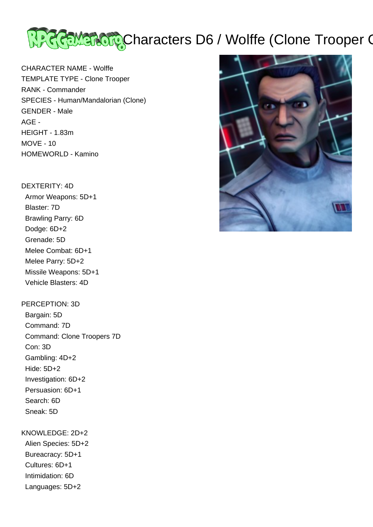

CHARACTER NAME - Wolffe TEMPLATE TYPE - Clone Trooper RANK - Commander SPECIES - Human/Mandalorian (Clone) GENDER - Male AGE - HEIGHT - 1.83m MOVE - 10 HOMEWORLD - Kamino

## DEXTERITY: 4D

 Armor Weapons: 5D+1 Blaster: 7D Brawling Parry: 6D Dodge: 6D+2 Grenade: 5D Melee Combat: 6D+1 Melee Parry: 5D+2 Missile Weapons: 5D+1 Vehicle Blasters: 4D

## PERCEPTION: 3D

 Bargain: 5D Command: 7D Command: Clone Troopers 7D Con: 3D Gambling: 4D+2 Hide: 5D+2 Investigation: 6D+2 Persuasion: 6D+1 Search: 6D Sneak: 5D

## KNOWLEDGE: 2D+2

 Alien Species: 5D+2 Bureacracy: 5D+1 Cultures: 6D+1 Intimidation: 6D Languages: 5D+2

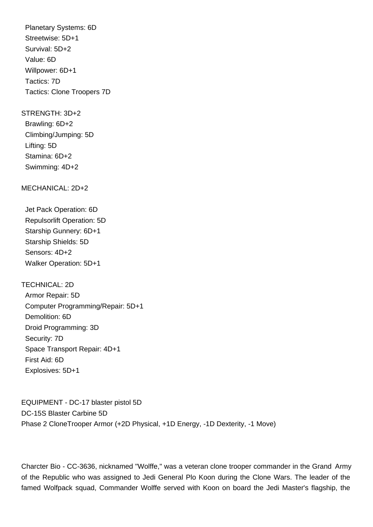Planetary Systems: 6D Streetwise: 5D+1 Survival: 5D+2 Value: 6D Willpower: 6D+1 Tactics: 7D Tactics: Clone Troopers 7D

STRENGTH: 3D+2

 Brawling: 6D+2 Climbing/Jumping: 5D Lifting: 5D Stamina: 6D+2 Swimming: 4D+2

MECHANICAL: 2D+2

 Jet Pack Operation: 6D Repulsorlift Operation: 5D Starship Gunnery: 6D+1 Starship Shields: 5D Sensors: 4D+2 Walker Operation: 5D+1

TECHNICAL: 2D Armor Repair: 5D Computer Programming/Repair: 5D+1 Demolition: 6D Droid Programming: 3D Security: 7D Space Transport Repair: 4D+1 First Aid: 6D Explosives: 5D+1

EQUIPMENT - DC-17 blaster pistol 5D DC-15S Blaster Carbine 5D Phase 2 CloneTrooper Armor (+2D Physical, +1D Energy, -1D Dexterity, -1 Move)

Charcter Bio - CC-3636, nicknamed "Wolffe," was a veteran clone trooper commander in the Grand Army of the Republic who was assigned to Jedi General Plo Koon during the Clone Wars. The leader of the famed Wolfpack squad, Commander Wolffe served with Koon on board the Jedi Master's flagship, the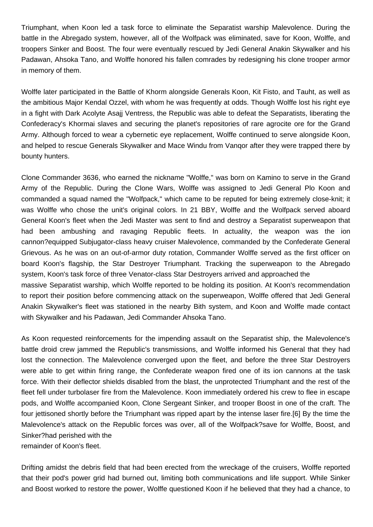Triumphant, when Koon led a task force to eliminate the Separatist warship Malevolence. During the battle in the Abregado system, however, all of the Wolfpack was eliminated, save for Koon, Wolffe, and troopers Sinker and Boost. The four were eventually rescued by Jedi General Anakin Skywalker and his Padawan, Ahsoka Tano, and Wolffe honored his fallen comrades by redesigning his clone trooper armor in memory of them.

Wolffe later participated in the Battle of Khorm alongside Generals Koon, Kit Fisto, and Tauht, as well as the ambitious Major Kendal Ozzel, with whom he was frequently at odds. Though Wolffe lost his right eye in a fight with Dark Acolyte Asajj Ventress, the Republic was able to defeat the Separatists, liberating the Confederacy's Khormai slaves and securing the planet's repositories of rare agrocite ore for the Grand Army. Although forced to wear a cybernetic eye replacement, Wolffe continued to serve alongside Koon, and helped to rescue Generals Skywalker and Mace Windu from Vanqor after they were trapped there by bounty hunters.

Clone Commander 3636, who earned the nickname "Wolffe," was born on Kamino to serve in the Grand Army of the Republic. During the Clone Wars, Wolffe was assigned to Jedi General Plo Koon and commanded a squad named the "Wolfpack," which came to be reputed for being extremely close-knit; it was Wolffe who chose the unit's original colors. In 21 BBY, Wolffe and the Wolfpack served aboard General Koon's fleet when the Jedi Master was sent to find and destroy a Separatist superweapon that had been ambushing and ravaging Republic fleets. In actuality, the weapon was the ion cannon?equipped Subjugator-class heavy cruiser Malevolence, commanded by the Confederate General Grievous. As he was on an out-of-armor duty rotation, Commander Wolffe served as the first officer on board Koon's flagship, the Star Destroyer Triumphant. Tracking the superweapon to the Abregado system, Koon's task force of three Venator-class Star Destroyers arrived and approached the massive Separatist warship, which Wolffe reported to be holding its position. At Koon's recommendation to report their position before commencing attack on the superweapon, Wolffe offered that Jedi General Anakin Skywalker's fleet was stationed in the nearby Bith system, and Koon and Wolffe made contact with Skywalker and his Padawan, Jedi Commander Ahsoka Tano.

As Koon requested reinforcements for the impending assault on the Separatist ship, the Malevolence's battle droid crew jammed the Republic's transmissions, and Wolffe informed his General that they had lost the connection. The Malevolence converged upon the fleet, and before the three Star Destroyers were able to get within firing range, the Confederate weapon fired one of its ion cannons at the task force. With their deflector shields disabled from the blast, the unprotected Triumphant and the rest of the fleet fell under turbolaser fire from the Malevolence. Koon immediately ordered his crew to flee in escape pods, and Wolffe accompanied Koon, Clone Sergeant Sinker, and trooper Boost in one of the craft. The four jettisoned shortly before the Triumphant was ripped apart by the intense laser fire.[6] By the time the Malevolence's attack on the Republic forces was over, all of the Wolfpack?save for Wolffe, Boost, and Sinker?had perished with the remainder of Koon's fleet.

Drifting amidst the debris field that had been erected from the wreckage of the cruisers, Wolffe reported that their pod's power grid had burned out, limiting both communications and life support. While Sinker and Boost worked to restore the power, Wolffe questioned Koon if he believed that they had a chance, to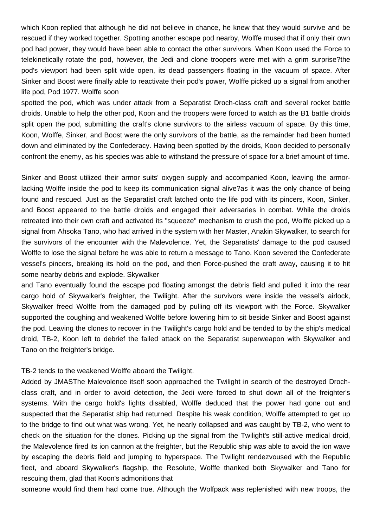which Koon replied that although he did not believe in chance, he knew that they would survive and be rescued if they worked together. Spotting another escape pod nearby, Wolffe mused that if only their own pod had power, they would have been able to contact the other survivors. When Koon used the Force to telekinetically rotate the pod, however, the Jedi and clone troopers were met with a grim surprise?the pod's viewport had been split wide open, its dead passengers floating in the vacuum of space. After Sinker and Boost were finally able to reactivate their pod's power, Wolffe picked up a signal from another life pod, Pod 1977. Wolffe soon

spotted the pod, which was under attack from a Separatist Droch-class craft and several rocket battle droids. Unable to help the other pod, Koon and the troopers were forced to watch as the B1 battle droids split open the pod, submitting the craft's clone survivors to the airless vacuum of space. By this time, Koon, Wolffe, Sinker, and Boost were the only survivors of the battle, as the remainder had been hunted down and eliminated by the Confederacy. Having been spotted by the droids, Koon decided to personally confront the enemy, as his species was able to withstand the pressure of space for a brief amount of time.

Sinker and Boost utilized their armor suits' oxygen supply and accompanied Koon, leaving the armorlacking Wolffe inside the pod to keep its communication signal alive?as it was the only chance of being found and rescued. Just as the Separatist craft latched onto the life pod with its pincers, Koon, Sinker, and Boost appeared to the battle droids and engaged their adversaries in combat. While the droids retreated into their own craft and activated its "squeeze" mechanism to crush the pod, Wolffe picked up a signal from Ahsoka Tano, who had arrived in the system with her Master, Anakin Skywalker, to search for the survivors of the encounter with the Malevolence. Yet, the Separatists' damage to the pod caused Wolffe to lose the signal before he was able to return a message to Tano. Koon severed the Confederate vessel's pincers, breaking its hold on the pod, and then Force-pushed the craft away, causing it to hit some nearby debris and explode. Skywalker

and Tano eventually found the escape pod floating amongst the debris field and pulled it into the rear cargo hold of Skywalker's freighter, the Twilight. After the survivors were inside the vessel's airlock, Skywalker freed Wolffe from the damaged pod by pulling off its viewport with the Force. Skywalker supported the coughing and weakened Wolffe before lowering him to sit beside Sinker and Boost against the pod. Leaving the clones to recover in the Twilight's cargo hold and be tended to by the ship's medical droid, TB-2, Koon left to debrief the failed attack on the Separatist superweapon with Skywalker and Tano on the freighter's bridge.

## TB-2 tends to the weakened Wolffe aboard the Twilight.

Added by JMASThe Malevolence itself soon approached the Twilight in search of the destroyed Drochclass craft, and in order to avoid detection, the Jedi were forced to shut down all of the freighter's systems. With the cargo hold's lights disabled, Wolffe deduced that the power had gone out and suspected that the Separatist ship had returned. Despite his weak condition, Wolffe attempted to get up to the bridge to find out what was wrong. Yet, he nearly collapsed and was caught by TB-2, who went to check on the situation for the clones. Picking up the signal from the Twilight's still-active medical droid, the Malevolence fired its ion cannon at the freighter, but the Republic ship was able to avoid the ion wave by escaping the debris field and jumping to hyperspace. The Twilight rendezvoused with the Republic fleet, and aboard Skywalker's flagship, the Resolute, Wolffe thanked both Skywalker and Tano for rescuing them, glad that Koon's admonitions that

someone would find them had come true. Although the Wolfpack was replenished with new troops, the